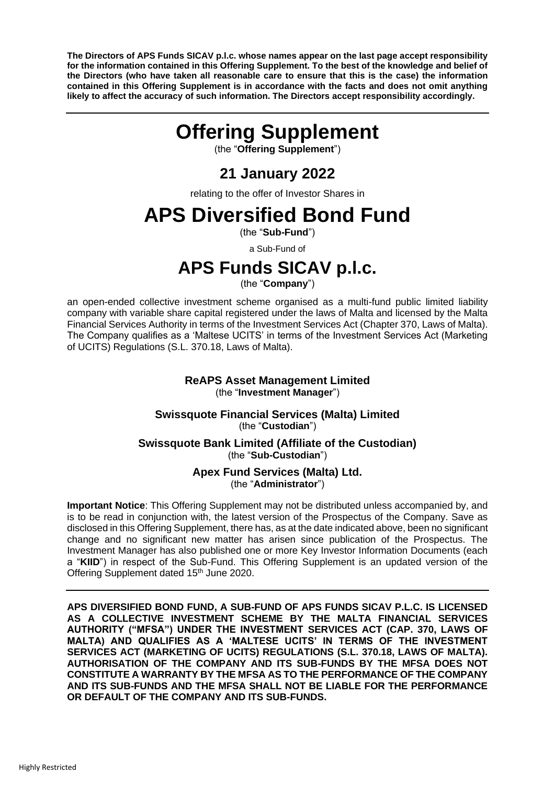**The Directors of APS Funds SICAV p.l.c. whose names appear on the last page accept responsibility for the information contained in this Offering Supplement. To the best of the knowledge and belief of the Directors (who have taken all reasonable care to ensure that this is the case) the information contained in this Offering Supplement is in accordance with the facts and does not omit anything likely to affect the accuracy of such information. The Directors accept responsibility accordingly.**

# **Offering Supplement**

(the "**Offering Supplement**")

# **21 January 2022**

relating to the offer of Investor Shares in

# **APS Diversified Bond Fund**

(the "**Sub-Fund**")

a Sub-Fund of

# **APS Funds SICAV p.l.c.**

(the "**Company**")

an open-ended collective investment scheme organised as a multi-fund public limited liability company with variable share capital registered under the laws of Malta and licensed by the Malta Financial Services Authority in terms of the Investment Services Act (Chapter 370, Laws of Malta). The Company qualifies as a 'Maltese UCITS' in terms of the Investment Services Act (Marketing of UCITS) Regulations (S.L. 370.18, Laws of Malta).

# **ReAPS Asset Management Limited**  (the "**Investment Manager**")

**Swissquote Financial Services (Malta) Limited**  (the "**Custodian**")

### **Swissquote Bank Limited (Affiliate of the Custodian)** (the "**Sub-Custodian**")

# **Apex Fund Services (Malta) Ltd.** (the "**Administrator**")

**Important Notice**: This Offering Supplement may not be distributed unless accompanied by, and is to be read in conjunction with, the latest version of the Prospectus of the Company. Save as disclosed in this Offering Supplement, there has, as at the date indicated above, been no significant change and no significant new matter has arisen since publication of the Prospectus. The Investment Manager has also published one or more Key Investor Information Documents (each a "**KIID**") in respect of the Sub-Fund. This Offering Supplement is an updated version of the Offering Supplement dated 15<sup>th</sup> June 2020.

**APS DIVERSIFIED BOND FUND, A SUB-FUND OF APS FUNDS SICAV P.L.C. IS LICENSED AS A COLLECTIVE INVESTMENT SCHEME BY THE MALTA FINANCIAL SERVICES AUTHORITY ("MFSA") UNDER THE INVESTMENT SERVICES ACT (CAP. 370, LAWS OF MALTA) AND QUALIFIES AS A 'MALTESE UCITS' IN TERMS OF THE INVESTMENT SERVICES ACT (MARKETING OF UCITS) REGULATIONS (S.L. 370.18, LAWS OF MALTA). AUTHORISATION OF THE COMPANY AND ITS SUB-FUNDS BY THE MFSA DOES NOT CONSTITUTE A WARRANTY BY THE MFSA AS TO THE PERFORMANCE OF THE COMPANY AND ITS SUB-FUNDS AND THE MFSA SHALL NOT BE LIABLE FOR THE PERFORMANCE OR DEFAULT OF THE COMPANY AND ITS SUB-FUNDS.**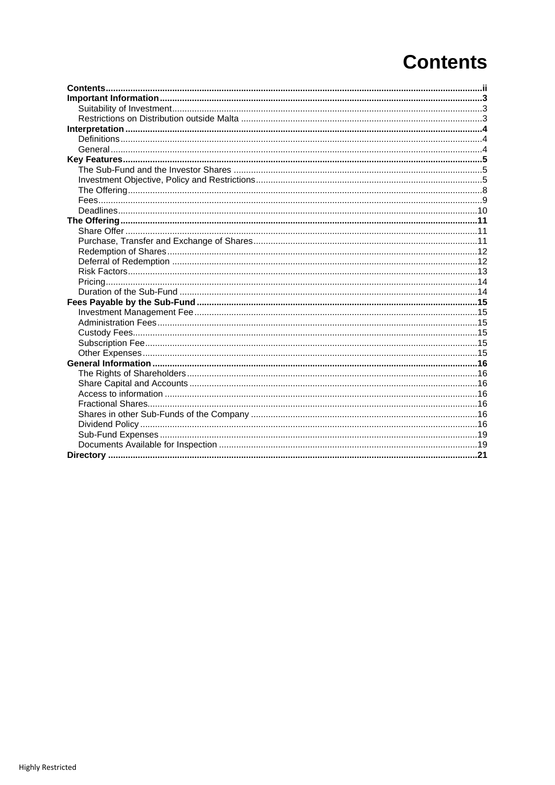# **Contents**

<span id="page-1-0"></span>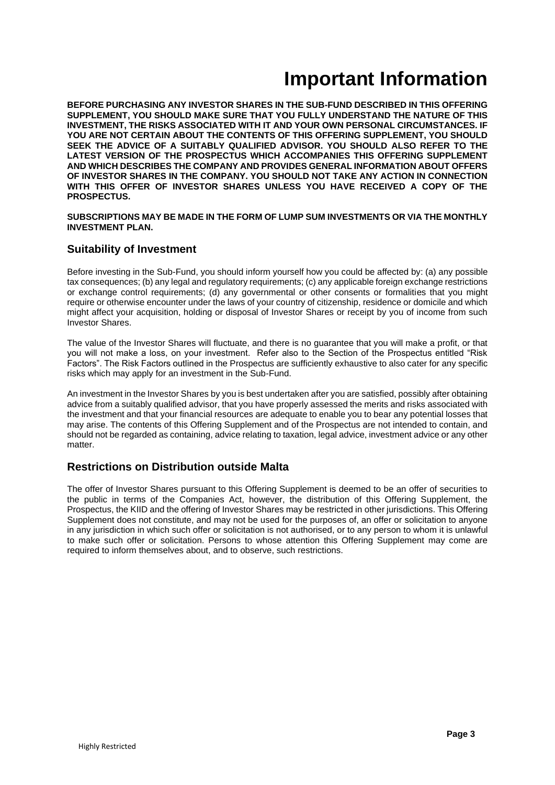# **Important Information**

<span id="page-2-0"></span>**BEFORE PURCHASING ANY INVESTOR SHARES IN THE SUB-FUND DESCRIBED IN THIS OFFERING SUPPLEMENT, YOU SHOULD MAKE SURE THAT YOU FULLY UNDERSTAND THE NATURE OF THIS INVESTMENT, THE RISKS ASSOCIATED WITH IT AND YOUR OWN PERSONAL CIRCUMSTANCES. IF YOU ARE NOT CERTAIN ABOUT THE CONTENTS OF THIS OFFERING SUPPLEMENT, YOU SHOULD SEEK THE ADVICE OF A SUITABLY QUALIFIED ADVISOR. YOU SHOULD ALSO REFER TO THE LATEST VERSION OF THE PROSPECTUS WHICH ACCOMPANIES THIS OFFERING SUPPLEMENT AND WHICH DESCRIBES THE COMPANY AND PROVIDES GENERAL INFORMATION ABOUT OFFERS OF INVESTOR SHARES IN THE COMPANY. YOU SHOULD NOT TAKE ANY ACTION IN CONNECTION WITH THIS OFFER OF INVESTOR SHARES UNLESS YOU HAVE RECEIVED A COPY OF THE PROSPECTUS.**

**SUBSCRIPTIONS MAY BE MADE IN THE FORM OF LUMP SUM INVESTMENTS OR VIA THE MONTHLY INVESTMENT PLAN.** 

# <span id="page-2-1"></span>**Suitability of Investment**

Before investing in the Sub-Fund, you should inform yourself how you could be affected by: (a) any possible tax consequences; (b) any legal and regulatory requirements; (c) any applicable foreign exchange restrictions or exchange control requirements; (d) any governmental or other consents or formalities that you might require or otherwise encounter under the laws of your country of citizenship, residence or domicile and which might affect your acquisition, holding or disposal of Investor Shares or receipt by you of income from such Investor Shares.

The value of the Investor Shares will fluctuate, and there is no guarantee that you will make a profit, or that you will not make a loss, on your investment. Refer also to the Section of the Prospectus entitled "Risk Factors". The Risk Factors outlined in the Prospectus are sufficiently exhaustive to also cater for any specific risks which may apply for an investment in the Sub-Fund.

An investment in the Investor Shares by you is best undertaken after you are satisfied, possibly after obtaining advice from a suitably qualified advisor, that you have properly assessed the merits and risks associated with the investment and that your financial resources are adequate to enable you to bear any potential losses that may arise. The contents of this Offering Supplement and of the Prospectus are not intended to contain, and should not be regarded as containing, advice relating to taxation, legal advice, investment advice or any other matter.

# <span id="page-2-2"></span>**Restrictions on Distribution outside Malta**

The offer of Investor Shares pursuant to this Offering Supplement is deemed to be an offer of securities to the public in terms of the Companies Act, however, the distribution of this Offering Supplement, the Prospectus, the KIID and the offering of Investor Shares may be restricted in other jurisdictions. This Offering Supplement does not constitute, and may not be used for the purposes of, an offer or solicitation to anyone in any jurisdiction in which such offer or solicitation is not authorised, or to any person to whom it is unlawful to make such offer or solicitation. Persons to whose attention this Offering Supplement may come are required to inform themselves about, and to observe, such restrictions.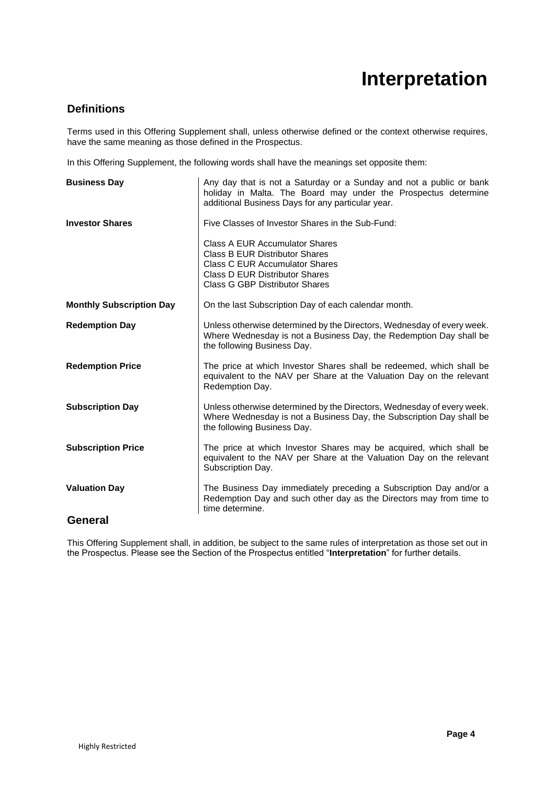# **Interpretation**

# <span id="page-3-1"></span><span id="page-3-0"></span>**Definitions**

Terms used in this Offering Supplement shall, unless otherwise defined or the context otherwise requires, have the same meaning as those defined in the Prospectus.

In this Offering Supplement, the following words shall have the meanings set opposite them:

| <b>Business Day</b>             | Any day that is not a Saturday or a Sunday and not a public or bank<br>holiday in Malta. The Board may under the Prospectus determine<br>additional Business Days for any particular year. |
|---------------------------------|--------------------------------------------------------------------------------------------------------------------------------------------------------------------------------------------|
| <b>Investor Shares</b>          | Five Classes of Investor Shares in the Sub-Fund:                                                                                                                                           |
|                                 | Class A EUR Accumulator Shares<br><b>Class B EUR Distributor Shares</b><br><b>Class C EUR Accumulator Shares</b><br>Class D EUR Distributor Shares<br>Class G GBP Distributor Shares       |
| <b>Monthly Subscription Day</b> | On the last Subscription Day of each calendar month.                                                                                                                                       |
| <b>Redemption Day</b>           | Unless otherwise determined by the Directors, Wednesday of every week.<br>Where Wednesday is not a Business Day, the Redemption Day shall be<br>the following Business Day.                |
| <b>Redemption Price</b>         | The price at which Investor Shares shall be redeemed, which shall be<br>equivalent to the NAV per Share at the Valuation Day on the relevant<br>Redemption Day.                            |
| <b>Subscription Day</b>         | Unless otherwise determined by the Directors, Wednesday of every week.<br>Where Wednesday is not a Business Day, the Subscription Day shall be<br>the following Business Day.              |
| <b>Subscription Price</b>       | The price at which Investor Shares may be acquired, which shall be<br>equivalent to the NAV per Share at the Valuation Day on the relevant<br>Subscription Day.                            |
| <b>Valuation Day</b>            | The Business Day immediately preceding a Subscription Day and/or a<br>Redemption Day and such other day as the Directors may from time to<br>time determine.                               |
| General                         |                                                                                                                                                                                            |

<span id="page-3-2"></span>This Offering Supplement shall, in addition, be subject to the same rules of interpretation as those set out in the Prospectus. Please see the Section of the Prospectus entitled "**Interpretation**" for further details.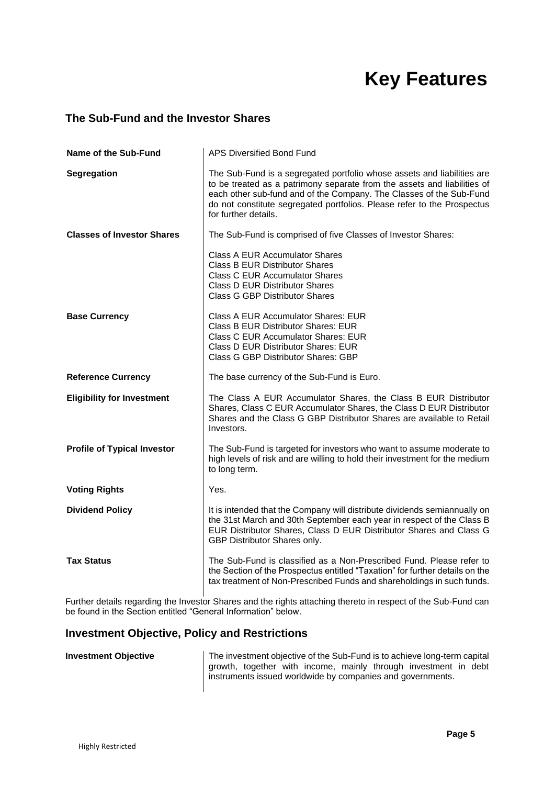# **Key Features**

# <span id="page-4-1"></span><span id="page-4-0"></span>**The Sub-Fund and the Investor Shares**

| Name of the Sub-Fund               | <b>APS Diversified Bond Fund</b>                                                                                                                                                                                                                                                                                              |
|------------------------------------|-------------------------------------------------------------------------------------------------------------------------------------------------------------------------------------------------------------------------------------------------------------------------------------------------------------------------------|
| Segregation                        | The Sub-Fund is a segregated portfolio whose assets and liabilities are<br>to be treated as a patrimony separate from the assets and liabilities of<br>each other sub-fund and of the Company. The Classes of the Sub-Fund<br>do not constitute segregated portfolios. Please refer to the Prospectus<br>for further details. |
| <b>Classes of Investor Shares</b>  | The Sub-Fund is comprised of five Classes of Investor Shares:                                                                                                                                                                                                                                                                 |
|                                    | <b>Class A EUR Accumulator Shares</b><br><b>Class B EUR Distributor Shares</b><br><b>Class C EUR Accumulator Shares</b><br><b>Class D EUR Distributor Shares</b><br><b>Class G GBP Distributor Shares</b>                                                                                                                     |
| <b>Base Currency</b>               | Class A EUR Accumulator Shares: EUR<br>Class B EUR Distributor Shares: EUR<br>Class C EUR Accumulator Shares: EUR<br>Class D EUR Distributor Shares: EUR<br>Class G GBP Distributor Shares: GBP                                                                                                                               |
| <b>Reference Currency</b>          | The base currency of the Sub-Fund is Euro.                                                                                                                                                                                                                                                                                    |
| <b>Eligibility for Investment</b>  | The Class A EUR Accumulator Shares, the Class B EUR Distributor<br>Shares, Class C EUR Accumulator Shares, the Class D EUR Distributor<br>Shares and the Class G GBP Distributor Shares are available to Retail<br>Investors.                                                                                                 |
| <b>Profile of Typical Investor</b> | The Sub-Fund is targeted for investors who want to assume moderate to<br>high levels of risk and are willing to hold their investment for the medium<br>to long term.                                                                                                                                                         |
| <b>Voting Rights</b>               | Yes.                                                                                                                                                                                                                                                                                                                          |
| <b>Dividend Policy</b>             | It is intended that the Company will distribute dividends semiannually on<br>the 31st March and 30th September each year in respect of the Class B<br>EUR Distributor Shares, Class D EUR Distributor Shares and Class G<br>GBP Distributor Shares only.                                                                      |
| <b>Tax Status</b>                  | The Sub-Fund is classified as a Non-Prescribed Fund. Please refer to<br>the Section of the Prospectus entitled "Taxation" for further details on the<br>tax treatment of Non-Prescribed Funds and shareholdings in such funds.                                                                                                |

Further details regarding the Investor Shares and the rights attaching thereto in respect of the Sub-Fund can be found in the Section entitled "General Information" below.

# <span id="page-4-2"></span>**Investment Objective, Policy and Restrictions**

The investment objective of the Sub-Fund is to achieve long-term capital growth, together with income, mainly through investment in debt instruments issued worldwide by companies and governments.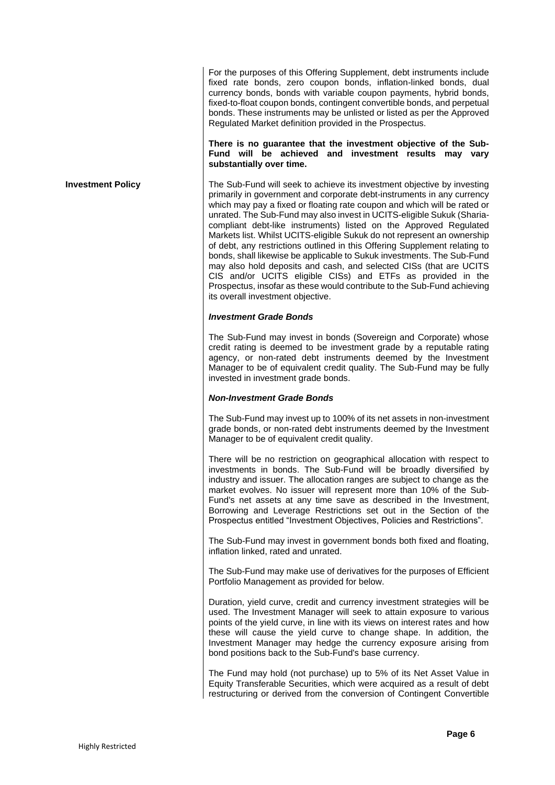For the purposes of this Offering Supplement, debt instruments include fixed rate bonds, zero coupon bonds, inflation-linked bonds, dual currency bonds, bonds with variable coupon payments, hybrid bonds, fixed-to-float coupon bonds, contingent convertible bonds, and perpetual bonds. These instruments may be unlisted or listed as per the Approved Regulated Market definition provided in the Prospectus.

#### **There is no guarantee that the investment objective of the Sub-Fund will be achieved and investment results may vary substantially over time.**

**Investment Policy** The Sub-Fund will seek to achieve its investment objective by investing primarily in government and corporate debt-instruments in any currency which may pay a fixed or floating rate coupon and which will be rated or unrated. The Sub-Fund may also invest in UCITS-eligible Sukuk (Shariacompliant debt-like instruments) listed on the Approved Regulated Markets list. Whilst UCITS-eligible Sukuk do not represent an ownership of debt, any restrictions outlined in this Offering Supplement relating to bonds, shall likewise be applicable to Sukuk investments. The Sub-Fund may also hold deposits and cash, and selected CISs (that are UCITS CIS and/or UCITS eligible CISs) and ETFs as provided in the Prospectus, insofar as these would contribute to the Sub-Fund achieving its overall investment objective.

#### *Investment Grade Bonds*

The Sub-Fund may invest in bonds (Sovereign and Corporate) whose credit rating is deemed to be investment grade by a reputable rating agency, or non-rated debt instruments deemed by the Investment Manager to be of equivalent credit quality. The Sub-Fund may be fully invested in investment grade bonds.

#### *Non-Investment Grade Bonds*

The Sub-Fund may invest up to 100% of its net assets in non-investment grade bonds, or non-rated debt instruments deemed by the Investment Manager to be of equivalent credit quality.

There will be no restriction on geographical allocation with respect to investments in bonds. The Sub-Fund will be broadly diversified by industry and issuer. The allocation ranges are subject to change as the market evolves. No issuer will represent more than 10% of the Sub-Fund's net assets at any time save as described in the Investment, Borrowing and Leverage Restrictions set out in the Section of the Prospectus entitled "Investment Objectives, Policies and Restrictions".

The Sub-Fund may invest in government bonds both fixed and floating, inflation linked, rated and unrated.

The Sub-Fund may make use of derivatives for the purposes of Efficient Portfolio Management as provided for below.

Duration, yield curve, credit and currency investment strategies will be used. The Investment Manager will seek to attain exposure to various points of the yield curve, in line with its views on interest rates and how these will cause the yield curve to change shape. In addition, the Investment Manager may hedge the currency exposure arising from bond positions back to the Sub-Fund's base currency.

The Fund may hold (not purchase) up to 5% of its Net Asset Value in Equity Transferable Securities, which were acquired as a result of debt restructuring or derived from the conversion of Contingent Convertible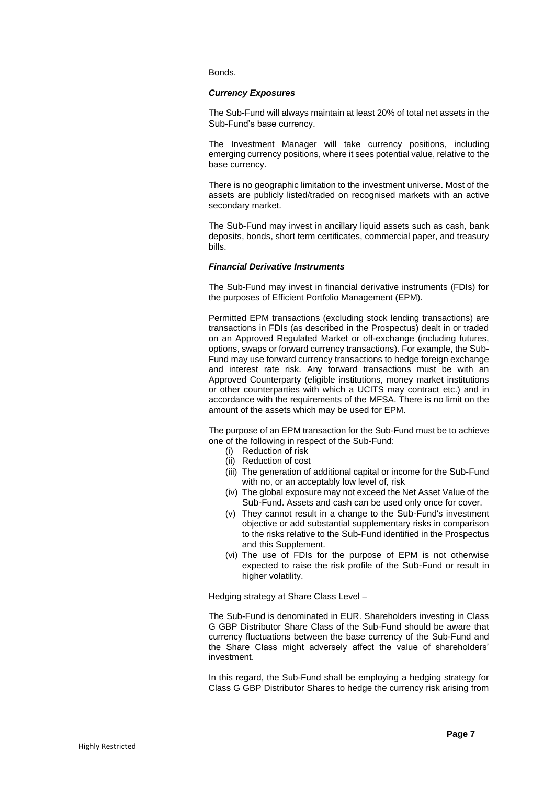Bonds.

#### *Currency Exposures*

The Sub-Fund will always maintain at least 20% of total net assets in the Sub-Fund's base currency.

The Investment Manager will take currency positions, including emerging currency positions, where it sees potential value, relative to the base currency.

There is no geographic limitation to the investment universe. Most of the assets are publicly listed/traded on recognised markets with an active secondary market.

The Sub-Fund may invest in ancillary liquid assets such as cash, bank deposits, bonds, short term certificates, commercial paper, and treasury bills.

#### *Financial Derivative Instruments*

The Sub-Fund may invest in financial derivative instruments (FDIs) for the purposes of Efficient Portfolio Management (EPM).

Permitted EPM transactions (excluding stock lending transactions) are transactions in FDIs (as described in the Prospectus) dealt in or traded on an Approved Regulated Market or off-exchange (including futures, options, swaps or forward currency transactions). For example, the Sub-Fund may use forward currency transactions to hedge foreign exchange and interest rate risk. Any forward transactions must be with an Approved Counterparty (eligible institutions, money market institutions or other counterparties with which a UCITS may contract etc.) and in accordance with the requirements of the MFSA. There is no limit on the amount of the assets which may be used for EPM.

The purpose of an EPM transaction for the Sub-Fund must be to achieve one of the following in respect of the Sub-Fund:

- (i) Reduction of risk
- (ii) Reduction of cost
- (iii) The generation of additional capital or income for the Sub-Fund with no, or an acceptably low level of, risk
- (iv) The global exposure may not exceed the Net Asset Value of the Sub-Fund. Assets and cash can be used only once for cover.
- (v) They cannot result in a change to the Sub-Fund's investment objective or add substantial supplementary risks in comparison to the risks relative to the Sub-Fund identified in the Prospectus and this Supplement.
- (vi) The use of FDIs for the purpose of EPM is not otherwise expected to raise the risk profile of the Sub-Fund or result in higher volatility.

Hedging strategy at Share Class Level –

The Sub-Fund is denominated in EUR. Shareholders investing in Class G GBP Distributor Share Class of the Sub-Fund should be aware that currency fluctuations between the base currency of the Sub-Fund and the Share Class might adversely affect the value of shareholders' investment.

In this regard, the Sub-Fund shall be employing a hedging strategy for Class G GBP Distributor Shares to hedge the currency risk arising from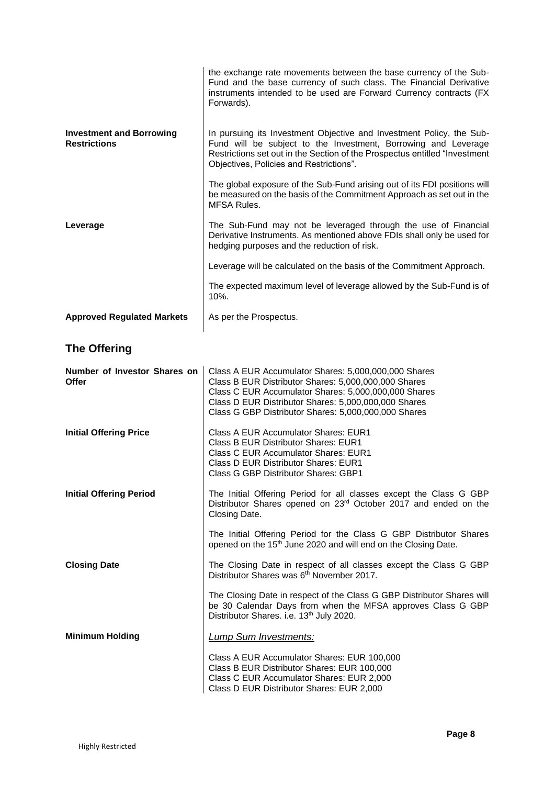|                                                        | the exchange rate movements between the base currency of the Sub-<br>Fund and the base currency of such class. The Financial Derivative<br>instruments intended to be used are Forward Currency contracts (FX<br>Forwards).                                      |
|--------------------------------------------------------|------------------------------------------------------------------------------------------------------------------------------------------------------------------------------------------------------------------------------------------------------------------|
| <b>Investment and Borrowing</b><br><b>Restrictions</b> | In pursuing its Investment Objective and Investment Policy, the Sub-<br>Fund will be subject to the Investment, Borrowing and Leverage<br>Restrictions set out in the Section of the Prospectus entitled "Investment"<br>Objectives, Policies and Restrictions". |
|                                                        | The global exposure of the Sub-Fund arising out of its FDI positions will<br>be measured on the basis of the Commitment Approach as set out in the<br><b>MFSA Rules.</b>                                                                                         |
| Leverage                                               | The Sub-Fund may not be leveraged through the use of Financial<br>Derivative Instruments. As mentioned above FDIs shall only be used for<br>hedging purposes and the reduction of risk.                                                                          |
|                                                        | Leverage will be calculated on the basis of the Commitment Approach.                                                                                                                                                                                             |
|                                                        | The expected maximum level of leverage allowed by the Sub-Fund is of<br>10%.                                                                                                                                                                                     |
| <b>Approved Regulated Markets</b>                      | As per the Prospectus.                                                                                                                                                                                                                                           |

# <span id="page-7-0"></span>**The Offering**

| Number of Investor Shares on<br>Offer | Class A EUR Accumulator Shares: 5,000,000,000 Shares<br>Class B EUR Distributor Shares: 5,000,000,000 Shares<br>Class C EUR Accumulator Shares: 5,000,000,000 Shares<br>Class D EUR Distributor Shares: 5,000,000,000 Shares<br>Class G GBP Distributor Shares: 5,000,000,000 Shares |
|---------------------------------------|--------------------------------------------------------------------------------------------------------------------------------------------------------------------------------------------------------------------------------------------------------------------------------------|
| <b>Initial Offering Price</b>         | Class A EUR Accumulator Shares: EUR1<br>Class B EUR Distributor Shares: EUR1<br>Class C EUR Accumulator Shares: EUR1<br>Class D EUR Distributor Shares: EUR1<br>Class G GBP Distributor Shares: GBP1                                                                                 |
| <b>Initial Offering Period</b>        | The Initial Offering Period for all classes except the Class G GBP<br>Distributor Shares opened on 23rd October 2017 and ended on the<br>Closing Date.                                                                                                                               |
|                                       | The Initial Offering Period for the Class G GBP Distributor Shares<br>opened on the 15 <sup>th</sup> June 2020 and will end on the Closing Date.                                                                                                                                     |
| <b>Closing Date</b>                   | The Closing Date in respect of all classes except the Class G GBP<br>Distributor Shares was 6 <sup>th</sup> November 2017.                                                                                                                                                           |
|                                       | The Closing Date in respect of the Class G GBP Distributor Shares will<br>be 30 Calendar Days from when the MFSA approves Class G GBP<br>Distributor Shares. i.e. 13th July 2020.                                                                                                    |
| <b>Minimum Holding</b>                | <b>Lump Sum Investments:</b>                                                                                                                                                                                                                                                         |
|                                       | Class A EUR Accumulator Shares: EUR 100,000<br>Class B EUR Distributor Shares: EUR 100,000<br>Class C EUR Accumulator Shares: EUR 2,000<br>Class D EUR Distributor Shares: EUR 2,000                                                                                                 |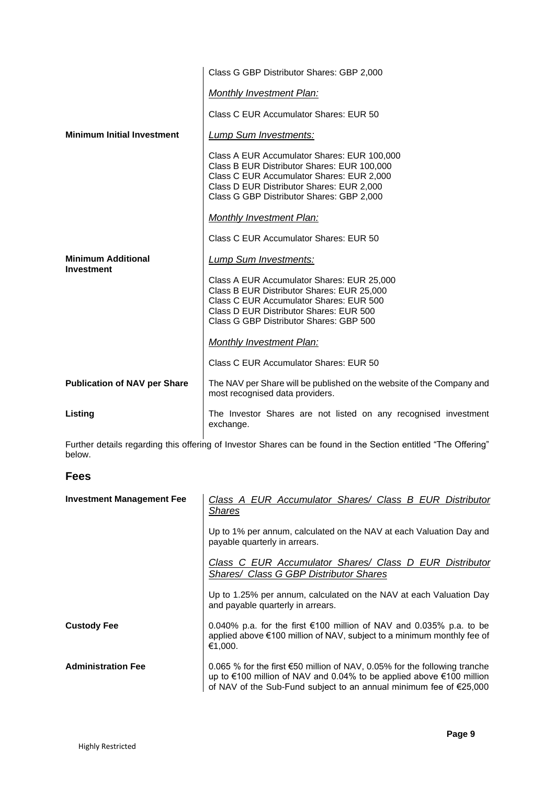|                                                | Class G GBP Distributor Shares: GBP 2,000                                                                                                                                                                                         |
|------------------------------------------------|-----------------------------------------------------------------------------------------------------------------------------------------------------------------------------------------------------------------------------------|
|                                                | <b>Monthly Investment Plan:</b>                                                                                                                                                                                                   |
|                                                | Class C EUR Accumulator Shares: EUR 50                                                                                                                                                                                            |
| <b>Minimum Initial Investment</b>              | Lump Sum Investments:                                                                                                                                                                                                             |
|                                                | Class A EUR Accumulator Shares: EUR 100,000<br>Class B EUR Distributor Shares: EUR 100,000<br>Class C EUR Accumulator Shares: EUR 2,000<br>Class D EUR Distributor Shares: EUR 2,000<br>Class G GBP Distributor Shares: GBP 2,000 |
|                                                | <b>Monthly Investment Plan:</b>                                                                                                                                                                                                   |
|                                                | Class C EUR Accumulator Shares: EUR 50                                                                                                                                                                                            |
| <b>Minimum Additional</b><br><b>Investment</b> | <b>Lump Sum Investments:</b>                                                                                                                                                                                                      |
|                                                | Class A EUR Accumulator Shares: EUR 25,000<br>Class B EUR Distributor Shares: EUR 25,000<br>Class C EUR Accumulator Shares: EUR 500<br>Class D EUR Distributor Shares: EUR 500<br>Class G GBP Distributor Shares: GBP 500         |
|                                                | <b>Monthly Investment Plan:</b>                                                                                                                                                                                                   |
|                                                | Class C EUR Accumulator Shares: EUR 50                                                                                                                                                                                            |
| <b>Publication of NAV per Share</b>            | The NAV per Share will be published on the website of the Company and<br>most recognised data providers.                                                                                                                          |
| Listing                                        | The Investor Shares are not listed on any recognised investment<br>exchange.                                                                                                                                                      |

Further details regarding this offering of Investor Shares can be found in the Section entitled "The Offering" below.

# <span id="page-8-0"></span>**Fees**

| <b>Investment Management Fee</b> | Class A EUR Accumulator Shares/ Class B EUR Distributor<br><b>Shares</b>                                                                                                                                                             |
|----------------------------------|--------------------------------------------------------------------------------------------------------------------------------------------------------------------------------------------------------------------------------------|
|                                  | Up to 1% per annum, calculated on the NAV at each Valuation Day and<br>payable quarterly in arrears.                                                                                                                                 |
|                                  | Class C EUR Accumulator Shares/ Class D EUR Distributor<br>Shares/ Class G GBP Distributor Shares                                                                                                                                    |
|                                  | Up to 1.25% per annum, calculated on the NAV at each Valuation Day<br>and payable quarterly in arrears.                                                                                                                              |
| <b>Custody Fee</b>               | 0.040% p.a. for the first $€100$ million of NAV and 0.035% p.a. to be<br>applied above $\epsilon$ 100 million of NAV, subject to a minimum monthly fee of<br>€1,000.                                                                 |
| <b>Administration Fee</b>        | 0.065 % for the first $\epsilon$ 50 million of NAV, 0.05% for the following tranche<br>up to €100 million of NAV and 0.04% to be applied above €100 million<br>of NAV of the Sub-Fund subject to an annual minimum fee of $E$ 25,000 |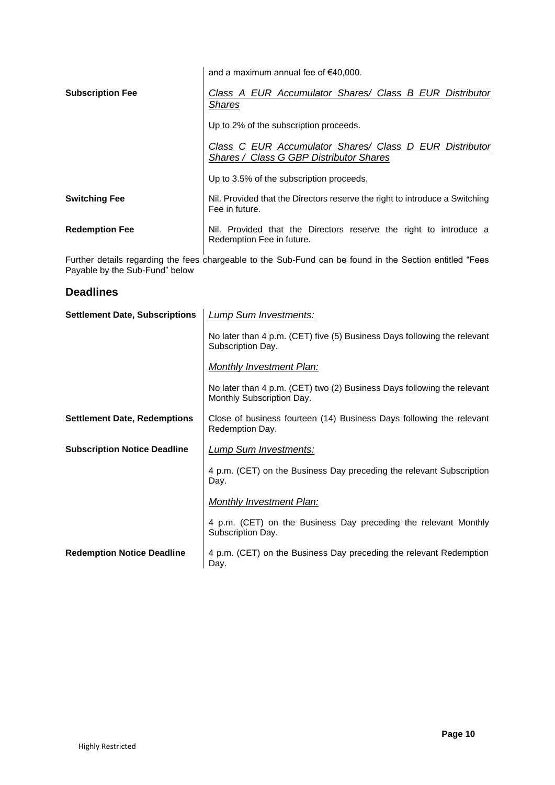|                         | and a maximum annual fee of $€40,000$ .                                                            |
|-------------------------|----------------------------------------------------------------------------------------------------|
| <b>Subscription Fee</b> | Class A EUR Accumulator Shares/ Class B EUR Distributor<br><b>Shares</b>                           |
|                         | Up to 2% of the subscription proceeds.                                                             |
|                         | Class C EUR Accumulator Shares/ Class D EUR Distributor<br>Shares / Class G GBP Distributor Shares |
|                         | Up to 3.5% of the subscription proceeds.                                                           |
| <b>Switching Fee</b>    | Nil. Provided that the Directors reserve the right to introduce a Switching<br>Fee in future.      |
| <b>Redemption Fee</b>   | Nil. Provided that the Directors reserve the right to introduce a<br>Redemption Fee in future.     |

Further details regarding the fees chargeable to the Sub-Fund can be found in the Section entitled "Fees Payable by the Sub-Fund" below

# <span id="page-9-0"></span>**Deadlines**

| <b>Settlement Date, Subscriptions</b> | <b>Lump Sum Investments:</b>                                                                         |  |
|---------------------------------------|------------------------------------------------------------------------------------------------------|--|
|                                       | No later than 4 p.m. (CET) five (5) Business Days following the relevant<br>Subscription Day.        |  |
|                                       | <b>Monthly Investment Plan:</b>                                                                      |  |
|                                       | No later than 4 p.m. (CET) two (2) Business Days following the relevant<br>Monthly Subscription Day. |  |
| <b>Settlement Date, Redemptions</b>   | Close of business fourteen (14) Business Days following the relevant<br>Redemption Day.              |  |
| <b>Subscription Notice Deadline</b>   | Lump Sum Investments:                                                                                |  |
|                                       | 4 p.m. (CET) on the Business Day preceding the relevant Subscription<br>Day.                         |  |
|                                       | <b>Monthly Investment Plan:</b>                                                                      |  |
|                                       | 4 p.m. (CET) on the Business Day preceding the relevant Monthly<br>Subscription Day.                 |  |
| <b>Redemption Notice Deadline</b>     | 4 p.m. (CET) on the Business Day preceding the relevant Redemption<br>Day.                           |  |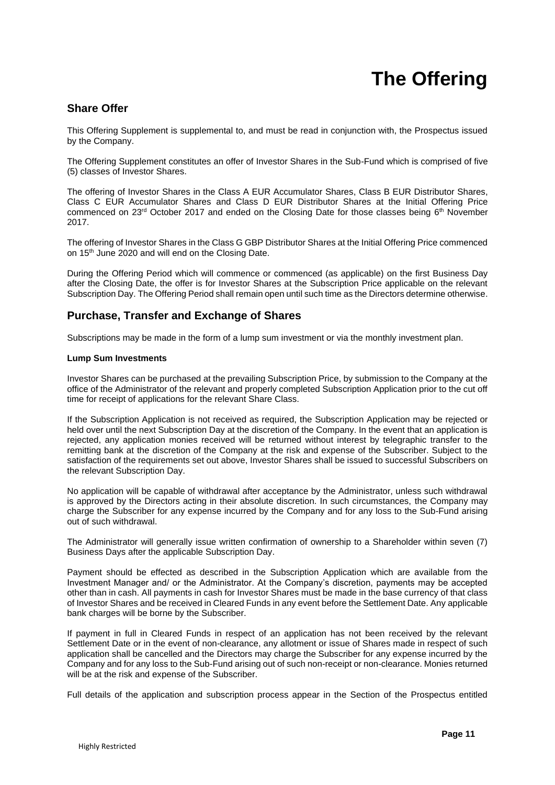# **The Offering**

# <span id="page-10-1"></span><span id="page-10-0"></span>**Share Offer**

This Offering Supplement is supplemental to, and must be read in conjunction with, the Prospectus issued by the Company.

The Offering Supplement constitutes an offer of Investor Shares in the Sub-Fund which is comprised of five (5) classes of Investor Shares.

The offering of Investor Shares in the Class A EUR Accumulator Shares, Class B EUR Distributor Shares, Class C EUR Accumulator Shares and Class D EUR Distributor Shares at the Initial Offering Price commenced on  $23<sup>rd</sup>$  October 2017 and ended on the Closing Date for those classes being  $6<sup>th</sup>$  November 2017.

The offering of Investor Shares in the Class G GBP Distributor Shares at the Initial Offering Price commenced on 15<sup>th</sup> June 2020 and will end on the Closing Date.

During the Offering Period which will commence or commenced (as applicable) on the first Business Day after the Closing Date, the offer is for Investor Shares at the Subscription Price applicable on the relevant Subscription Day. The Offering Period shall remain open until such time as the Directors determine otherwise.

# <span id="page-10-2"></span>**Purchase, Transfer and Exchange of Shares**

Subscriptions may be made in the form of a lump sum investment or via the monthly investment plan.

#### **Lump Sum Investments**

Investor Shares can be purchased at the prevailing Subscription Price, by submission to the Company at the office of the Administrator of the relevant and properly completed Subscription Application prior to the cut off time for receipt of applications for the relevant Share Class.

If the Subscription Application is not received as required, the Subscription Application may be rejected or held over until the next Subscription Day at the discretion of the Company. In the event that an application is rejected, any application monies received will be returned without interest by telegraphic transfer to the remitting bank at the discretion of the Company at the risk and expense of the Subscriber. Subject to the satisfaction of the requirements set out above, Investor Shares shall be issued to successful Subscribers on the relevant Subscription Day.

No application will be capable of withdrawal after acceptance by the Administrator, unless such withdrawal is approved by the Directors acting in their absolute discretion. In such circumstances, the Company may charge the Subscriber for any expense incurred by the Company and for any loss to the Sub-Fund arising out of such withdrawal.

The Administrator will generally issue written confirmation of ownership to a Shareholder within seven (7) Business Days after the applicable Subscription Day.

Payment should be effected as described in the Subscription Application which are available from the Investment Manager and/ or the Administrator. At the Company's discretion, payments may be accepted other than in cash. All payments in cash for Investor Shares must be made in the base currency of that class of Investor Shares and be received in Cleared Funds in any event before the Settlement Date. Any applicable bank charges will be borne by the Subscriber.

If payment in full in Cleared Funds in respect of an application has not been received by the relevant Settlement Date or in the event of non-clearance, any allotment or issue of Shares made in respect of such application shall be cancelled and the Directors may charge the Subscriber for any expense incurred by the Company and for any loss to the Sub-Fund arising out of such non-receipt or non-clearance. Monies returned will be at the risk and expense of the Subscriber.

Full details of the application and subscription process appear in the Section of the Prospectus entitled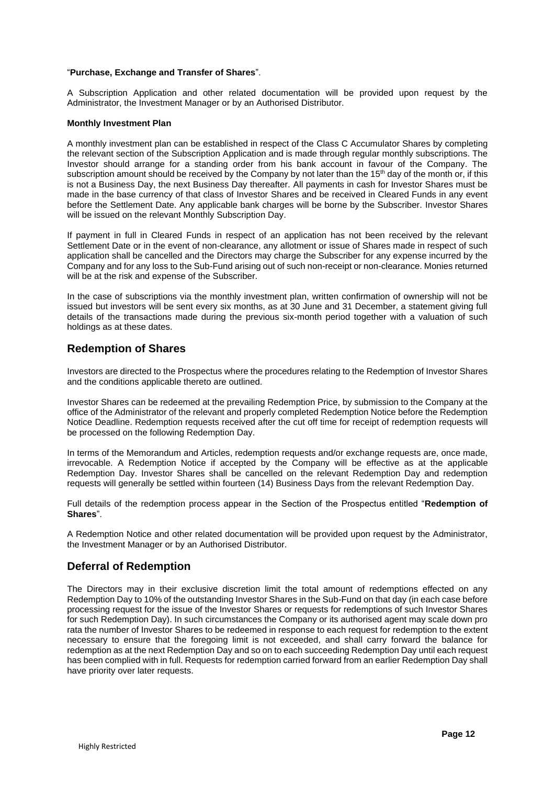#### "**Purchase, Exchange and Transfer of Shares**".

A Subscription Application and other related documentation will be provided upon request by the Administrator, the Investment Manager or by an Authorised Distributor.

#### **Monthly Investment Plan**

A monthly investment plan can be established in respect of the Class C Accumulator Shares by completing the relevant section of the Subscription Application and is made through regular monthly subscriptions. The Investor should arrange for a standing order from his bank account in favour of the Company. The subscription amount should be received by the Company by not later than the 15<sup>th</sup> day of the month or, if this is not a Business Day, the next Business Day thereafter. All payments in cash for Investor Shares must be made in the base currency of that class of Investor Shares and be received in Cleared Funds in any event before the Settlement Date. Any applicable bank charges will be borne by the Subscriber. Investor Shares will be issued on the relevant Monthly Subscription Day.

If payment in full in Cleared Funds in respect of an application has not been received by the relevant Settlement Date or in the event of non-clearance, any allotment or issue of Shares made in respect of such application shall be cancelled and the Directors may charge the Subscriber for any expense incurred by the Company and for any loss to the Sub-Fund arising out of such non-receipt or non-clearance. Monies returned will be at the risk and expense of the Subscriber.

In the case of subscriptions via the monthly investment plan, written confirmation of ownership will not be issued but investors will be sent every six months, as at 30 June and 31 December, a statement giving full details of the transactions made during the previous six-month period together with a valuation of such holdings as at these dates.

# <span id="page-11-0"></span>**Redemption of Shares**

Investors are directed to the Prospectus where the procedures relating to the Redemption of Investor Shares and the conditions applicable thereto are outlined.

Investor Shares can be redeemed at the prevailing Redemption Price, by submission to the Company at the office of the Administrator of the relevant and properly completed Redemption Notice before the Redemption Notice Deadline. Redemption requests received after the cut off time for receipt of redemption requests will be processed on the following Redemption Day.

In terms of the Memorandum and Articles, redemption requests and/or exchange requests are, once made, irrevocable. A Redemption Notice if accepted by the Company will be effective as at the applicable Redemption Day. Investor Shares shall be cancelled on the relevant Redemption Day and redemption requests will generally be settled within fourteen (14) Business Days from the relevant Redemption Day.

Full details of the redemption process appear in the Section of the Prospectus entitled "**Redemption of Shares**".

A Redemption Notice and other related documentation will be provided upon request by the Administrator, the Investment Manager or by an Authorised Distributor.

# <span id="page-11-1"></span>**Deferral of Redemption**

The Directors may in their exclusive discretion limit the total amount of redemptions effected on any Redemption Day to 10% of the outstanding Investor Shares in the Sub-Fund on that day (in each case before processing request for the issue of the Investor Shares or requests for redemptions of such Investor Shares for such Redemption Day). In such circumstances the Company or its authorised agent may scale down pro rata the number of Investor Shares to be redeemed in response to each request for redemption to the extent necessary to ensure that the foregoing limit is not exceeded, and shall carry forward the balance for redemption as at the next Redemption Day and so on to each succeeding Redemption Day until each request has been complied with in full. Requests for redemption carried forward from an earlier Redemption Day shall have priority over later requests.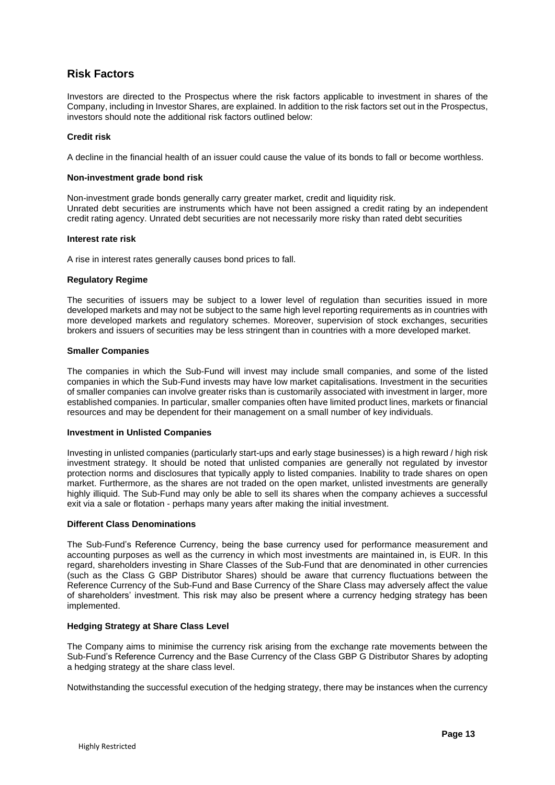# <span id="page-12-0"></span>**Risk Factors**

Investors are directed to the Prospectus where the risk factors applicable to investment in shares of the Company, including in Investor Shares, are explained. In addition to the risk factors set out in the Prospectus, investors should note the additional risk factors outlined below:

#### **Credit risk**

A decline in the financial health of an issuer could cause the value of its bonds to fall or become worthless.

#### **Non-investment grade bond risk**

Non-investment grade bonds generally carry greater market, credit and liquidity risk. Unrated debt securities are instruments which have not been assigned a credit rating by an independent credit rating agency. Unrated debt securities are not necessarily more risky than rated debt securities

#### **Interest rate risk**

A rise in interest rates generally causes bond prices to fall.

#### **Regulatory Regime**

The securities of issuers may be subject to a lower level of regulation than securities issued in more developed markets and may not be subject to the same high level reporting requirements as in countries with more developed markets and regulatory schemes. Moreover, supervision of stock exchanges, securities brokers and issuers of securities may be less stringent than in countries with a more developed market.

#### **Smaller Companies**

The companies in which the Sub-Fund will invest may include small companies, and some of the listed companies in which the Sub-Fund invests may have low market capitalisations. Investment in the securities of smaller companies can involve greater risks than is customarily associated with investment in larger, more established companies. In particular, smaller companies often have limited product lines, markets or financial resources and may be dependent for their management on a small number of key individuals.

#### **Investment in Unlisted Companies**

Investing in unlisted companies (particularly start-ups and early stage businesses) is a high reward / high risk investment strategy. It should be noted that unlisted companies are generally not regulated by investor protection norms and disclosures that typically apply to listed companies. Inability to trade shares on open market. Furthermore, as the shares are not traded on the open market, unlisted investments are generally highly illiquid. The Sub-Fund may only be able to sell its shares when the company achieves a successful exit via a sale or flotation - perhaps many years after making the initial investment.

#### **Different Class Denominations**

The Sub-Fund's Reference Currency, being the base currency used for performance measurement and accounting purposes as well as the currency in which most investments are maintained in, is EUR. In this regard, shareholders investing in Share Classes of the Sub-Fund that are denominated in other currencies (such as the Class G GBP Distributor Shares) should be aware that currency fluctuations between the Reference Currency of the Sub-Fund and Base Currency of the Share Class may adversely affect the value of shareholders' investment. This risk may also be present where a currency hedging strategy has been implemented.

#### **Hedging Strategy at Share Class Level**

The Company aims to minimise the currency risk arising from the exchange rate movements between the Sub-Fund's Reference Currency and the Base Currency of the Class GBP G Distributor Shares by adopting a hedging strategy at the share class level.

Notwithstanding the successful execution of the hedging strategy, there may be instances when the currency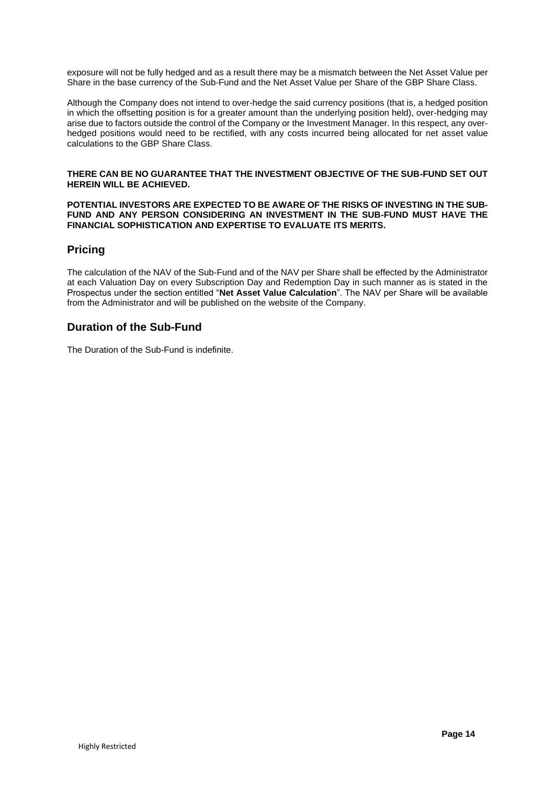exposure will not be fully hedged and as a result there may be a mismatch between the Net Asset Value per Share in the base currency of the Sub-Fund and the Net Asset Value per Share of the GBP Share Class.

Although the Company does not intend to over-hedge the said currency positions (that is, a hedged position in which the offsetting position is for a greater amount than the underlying position held), over-hedging may arise due to factors outside the control of the Company or the Investment Manager. In this respect, any overhedged positions would need to be rectified, with any costs incurred being allocated for net asset value calculations to the GBP Share Class.

#### **THERE CAN BE NO GUARANTEE THAT THE INVESTMENT OBJECTIVE OF THE SUB-FUND SET OUT HEREIN WILL BE ACHIEVED.**

#### **POTENTIAL INVESTORS ARE EXPECTED TO BE AWARE OF THE RISKS OF INVESTING IN THE SUB-FUND AND ANY PERSON CONSIDERING AN INVESTMENT IN THE SUB-FUND MUST HAVE THE FINANCIAL SOPHISTICATION AND EXPERTISE TO EVALUATE ITS MERITS.**

# <span id="page-13-0"></span>**Pricing**

The calculation of the NAV of the Sub-Fund and of the NAV per Share shall be effected by the Administrator at each Valuation Day on every Subscription Day and Redemption Day in such manner as is stated in the Prospectus under the section entitled "**Net Asset Value Calculation**". The NAV per Share will be available from the Administrator and will be published on the website of the Company.

# <span id="page-13-1"></span>**Duration of the Sub-Fund**

The Duration of the Sub-Fund is indefinite.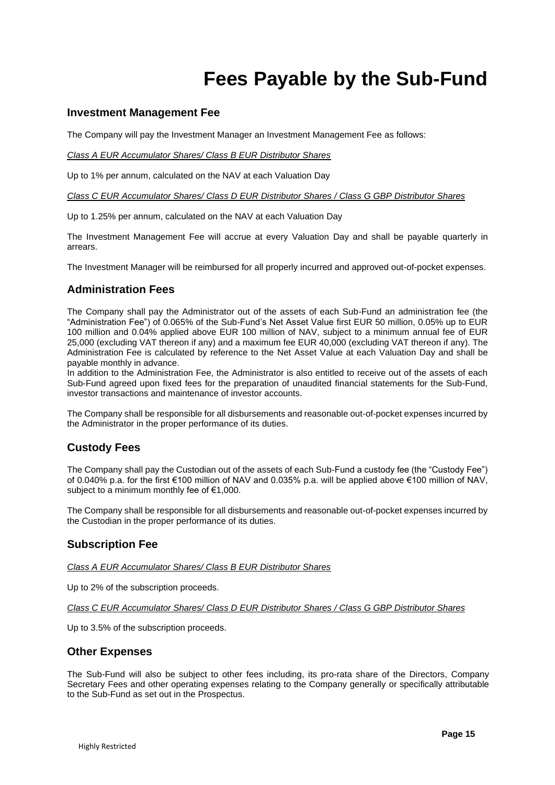# **Fees Payable by the Sub-Fund**

### <span id="page-14-1"></span><span id="page-14-0"></span>**Investment Management Fee**

The Company will pay the Investment Manager an Investment Management Fee as follows:

*Class A EUR Accumulator Shares/ Class B EUR Distributor Shares* 

Up to 1% per annum, calculated on the NAV at each Valuation Day

*Class C EUR Accumulator Shares/ Class D EUR Distributor Shares / Class G GBP Distributor Shares*

Up to 1.25% per annum, calculated on the NAV at each Valuation Day

The Investment Management Fee will accrue at every Valuation Day and shall be payable quarterly in arrears.

The Investment Manager will be reimbursed for all properly incurred and approved out-of-pocket expenses.

### <span id="page-14-2"></span>**Administration Fees**

The Company shall pay the Administrator out of the assets of each Sub-Fund an administration fee (the "Administration Fee") of 0.065% of the Sub-Fund's Net Asset Value first EUR 50 million, 0.05% up to EUR 100 million and 0.04% applied above EUR 100 million of NAV, subject to a minimum annual fee of EUR 25,000 (excluding VAT thereon if any) and a maximum fee EUR 40,000 (excluding VAT thereon if any). The Administration Fee is calculated by reference to the Net Asset Value at each Valuation Day and shall be payable monthly in advance.

In addition to the Administration Fee, the Administrator is also entitled to receive out of the assets of each Sub-Fund agreed upon fixed fees for the preparation of unaudited financial statements for the Sub-Fund, investor transactions and maintenance of investor accounts.

The Company shall be responsible for all disbursements and reasonable out-of-pocket expenses incurred by the Administrator in the proper performance of its duties.

# <span id="page-14-3"></span>**Custody Fees**

The Company shall pay the Custodian out of the assets of each Sub-Fund a custody fee (the "Custody Fee") of 0.040% p.a. for the first €100 million of NAV and 0.035% p.a. will be applied above €100 million of NAV, subject to a minimum monthly fee of €1,000.

The Company shall be responsible for all disbursements and reasonable out-of-pocket expenses incurred by the Custodian in the proper performance of its duties.

# <span id="page-14-4"></span>**Subscription Fee**

*Class A EUR Accumulator Shares/ Class B EUR Distributor Shares* 

Up to 2% of the subscription proceeds.

*Class C EUR Accumulator Shares/ Class D EUR Distributor Shares / Class G GBP Distributor Shares*

Up to 3.5% of the subscription proceeds.

#### <span id="page-14-5"></span>**Other Expenses**

The Sub-Fund will also be subject to other fees including, its pro-rata share of the Directors, Company Secretary Fees and other operating expenses relating to the Company generally or specifically attributable to the Sub-Fund as set out in the Prospectus.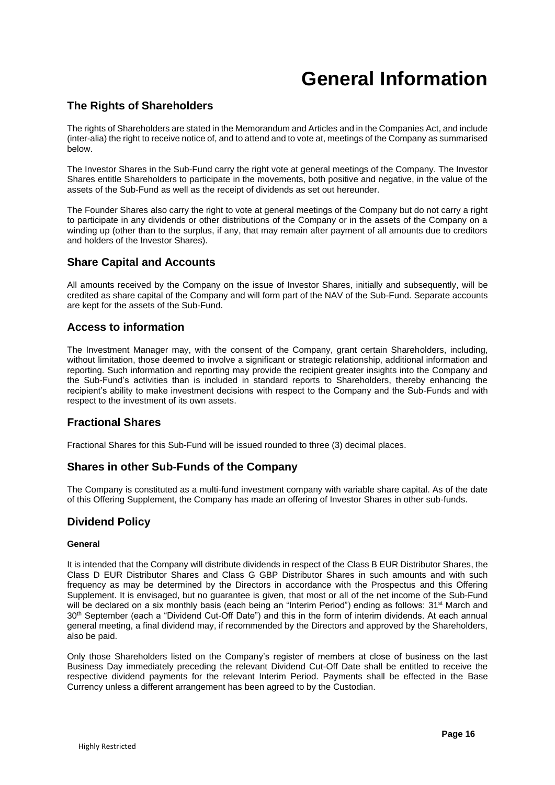# **General Information**

# <span id="page-15-1"></span><span id="page-15-0"></span>**The Rights of Shareholders**

The rights of Shareholders are stated in the Memorandum and Articles and in the Companies Act, and include (inter-alia) the right to receive notice of, and to attend and to vote at, meetings of the Company as summarised below.

The Investor Shares in the Sub-Fund carry the right vote at general meetings of the Company. The Investor Shares entitle Shareholders to participate in the movements, both positive and negative, in the value of the assets of the Sub-Fund as well as the receipt of dividends as set out hereunder.

The Founder Shares also carry the right to vote at general meetings of the Company but do not carry a right to participate in any dividends or other distributions of the Company or in the assets of the Company on a winding up (other than to the surplus, if any, that may remain after payment of all amounts due to creditors and holders of the Investor Shares).

# <span id="page-15-2"></span>**Share Capital and Accounts**

All amounts received by the Company on the issue of Investor Shares, initially and subsequently, will be credited as share capital of the Company and will form part of the NAV of the Sub-Fund. Separate accounts are kept for the assets of the Sub-Fund.

# <span id="page-15-3"></span>**Access to information**

The Investment Manager may, with the consent of the Company, grant certain Shareholders, including, without limitation, those deemed to involve a significant or strategic relationship, additional information and reporting. Such information and reporting may provide the recipient greater insights into the Company and the Sub-Fund's activities than is included in standard reports to Shareholders, thereby enhancing the recipient's ability to make investment decisions with respect to the Company and the Sub-Funds and with respect to the investment of its own assets.

### <span id="page-15-4"></span>**Fractional Shares**

Fractional Shares for this Sub-Fund will be issued rounded to three (3) decimal places.

# <span id="page-15-5"></span>**Shares in other Sub-Funds of the Company**

The Company is constituted as a multi-fund investment company with variable share capital. As of the date of this Offering Supplement, the Company has made an offering of Investor Shares in other sub-funds.

# <span id="page-15-6"></span>**Dividend Policy**

#### **General**

It is intended that the Company will distribute dividends in respect of the Class B EUR Distributor Shares, the Class D EUR Distributor Shares and Class G GBP Distributor Shares in such amounts and with such frequency as may be determined by the Directors in accordance with the Prospectus and this Offering Supplement. It is envisaged, but no guarantee is given, that most or all of the net income of the Sub-Fund will be declared on a six monthly basis (each being an "Interim Period") ending as follows: 31<sup>st</sup> March and 30<sup>th</sup> September (each a "Dividend Cut-Off Date") and this in the form of interim dividends. At each annual general meeting, a final dividend may, if recommended by the Directors and approved by the Shareholders, also be paid.

Only those Shareholders listed on the Company's register of members at close of business on the last Business Day immediately preceding the relevant Dividend Cut-Off Date shall be entitled to receive the respective dividend payments for the relevant Interim Period. Payments shall be effected in the Base Currency unless a different arrangement has been agreed to by the Custodian.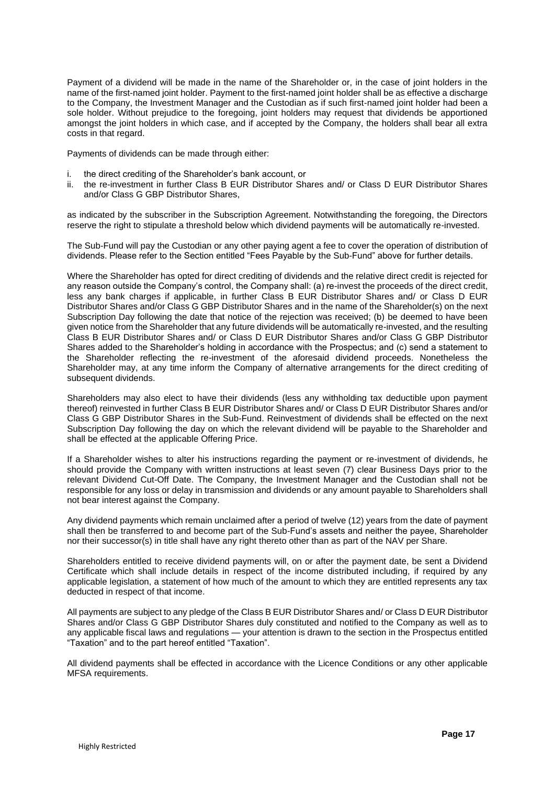Payment of a dividend will be made in the name of the Shareholder or, in the case of joint holders in the name of the first-named joint holder. Payment to the first-named joint holder shall be as effective a discharge to the Company, the Investment Manager and the Custodian as if such first-named joint holder had been a sole holder. Without prejudice to the foregoing, joint holders may request that dividends be apportioned amongst the joint holders in which case, and if accepted by the Company, the holders shall bear all extra costs in that regard.

Payments of dividends can be made through either:

- i. the direct crediting of the Shareholder's bank account, or
- ii. the re-investment in further Class B EUR Distributor Shares and/ or Class D EUR Distributor Shares and/or Class G GBP Distributor Shares,

as indicated by the subscriber in the Subscription Agreement. Notwithstanding the foregoing, the Directors reserve the right to stipulate a threshold below which dividend payments will be automatically re-invested.

The Sub-Fund will pay the Custodian or any other paying agent a fee to cover the operation of distribution of dividends. Please refer to the Section entitled "Fees Payable by the Sub-Fund" above for further details.

Where the Shareholder has opted for direct crediting of dividends and the relative direct credit is rejected for any reason outside the Company's control, the Company shall: (a) re-invest the proceeds of the direct credit, less any bank charges if applicable, in further Class B EUR Distributor Shares and/ or Class D EUR Distributor Shares and/or Class G GBP Distributor Shares and in the name of the Shareholder(s) on the next Subscription Day following the date that notice of the rejection was received; (b) be deemed to have been given notice from the Shareholder that any future dividends will be automatically re-invested, and the resulting Class B EUR Distributor Shares and/ or Class D EUR Distributor Shares and/or Class G GBP Distributor Shares added to the Shareholder's holding in accordance with the Prospectus; and (c) send a statement to the Shareholder reflecting the re-investment of the aforesaid dividend proceeds. Nonetheless the Shareholder may, at any time inform the Company of alternative arrangements for the direct crediting of subsequent dividends.

Shareholders may also elect to have their dividends (less any withholding tax deductible upon payment thereof) reinvested in further Class B EUR Distributor Shares and/ or Class D EUR Distributor Shares and/or Class G GBP Distributor Shares in the Sub-Fund. Reinvestment of dividends shall be effected on the next Subscription Day following the day on which the relevant dividend will be payable to the Shareholder and shall be effected at the applicable Offering Price.

If a Shareholder wishes to alter his instructions regarding the payment or re-investment of dividends, he should provide the Company with written instructions at least seven (7) clear Business Days prior to the relevant Dividend Cut-Off Date. The Company, the Investment Manager and the Custodian shall not be responsible for any loss or delay in transmission and dividends or any amount payable to Shareholders shall not bear interest against the Company.

Any dividend payments which remain unclaimed after a period of twelve (12) years from the date of payment shall then be transferred to and become part of the Sub-Fund's assets and neither the payee, Shareholder nor their successor(s) in title shall have any right thereto other than as part of the NAV per Share.

Shareholders entitled to receive dividend payments will, on or after the payment date, be sent a Dividend Certificate which shall include details in respect of the income distributed including, if required by any applicable legislation, a statement of how much of the amount to which they are entitled represents any tax deducted in respect of that income.

All payments are subject to any pledge of the Class B EUR Distributor Shares and/ or Class D EUR Distributor Shares and/or Class G GBP Distributor Shares duly constituted and notified to the Company as well as to any applicable fiscal laws and regulations — your attention is drawn to the section in the Prospectus entitled "Taxation" and to the part hereof entitled "Taxation".

All dividend payments shall be effected in accordance with the Licence Conditions or any other applicable MFSA requirements.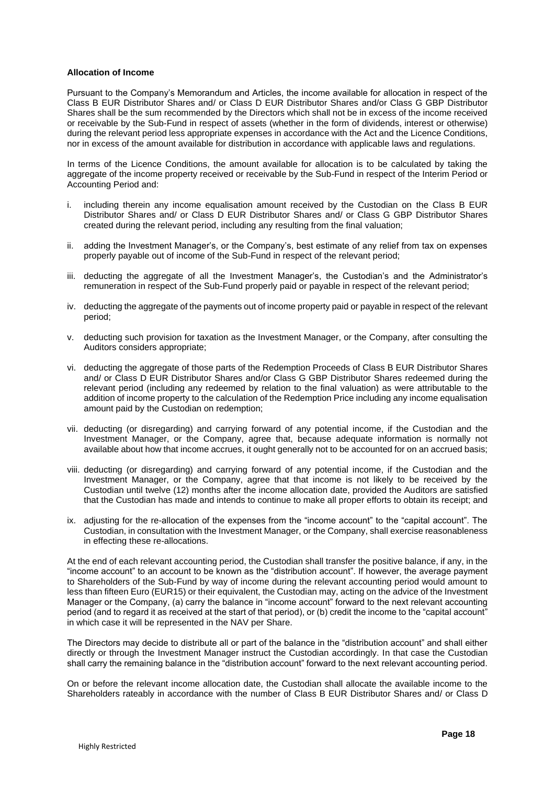#### **Allocation of Income**

Pursuant to the Company's Memorandum and Articles, the income available for allocation in respect of the Class B EUR Distributor Shares and/ or Class D EUR Distributor Shares and/or Class G GBP Distributor Shares shall be the sum recommended by the Directors which shall not be in excess of the income received or receivable by the Sub-Fund in respect of assets (whether in the form of dividends, interest or otherwise) during the relevant period less appropriate expenses in accordance with the Act and the Licence Conditions, nor in excess of the amount available for distribution in accordance with applicable laws and regulations.

In terms of the Licence Conditions, the amount available for allocation is to be calculated by taking the aggregate of the income property received or receivable by the Sub-Fund in respect of the Interim Period or Accounting Period and:

- i. including therein any income equalisation amount received by the Custodian on the Class B EUR Distributor Shares and/ or Class D EUR Distributor Shares and/ or Class G GBP Distributor Shares created during the relevant period, including any resulting from the final valuation;
- ii. adding the Investment Manager's, or the Company's, best estimate of any relief from tax on expenses properly payable out of income of the Sub-Fund in respect of the relevant period;
- iii. deducting the aggregate of all the Investment Manager's, the Custodian's and the Administrator's remuneration in respect of the Sub-Fund properly paid or payable in respect of the relevant period;
- iv. deducting the aggregate of the payments out of income property paid or payable in respect of the relevant period;
- v. deducting such provision for taxation as the Investment Manager, or the Company, after consulting the Auditors considers appropriate;
- vi. deducting the aggregate of those parts of the Redemption Proceeds of Class B EUR Distributor Shares and/ or Class D EUR Distributor Shares and/or Class G GBP Distributor Shares redeemed during the relevant period (including any redeemed by relation to the final valuation) as were attributable to the addition of income property to the calculation of the Redemption Price including any income equalisation amount paid by the Custodian on redemption;
- vii. deducting (or disregarding) and carrying forward of any potential income, if the Custodian and the Investment Manager, or the Company, agree that, because adequate information is normally not available about how that income accrues, it ought generally not to be accounted for on an accrued basis;
- viii. deducting (or disregarding) and carrying forward of any potential income, if the Custodian and the Investment Manager, or the Company, agree that that income is not likely to be received by the Custodian until twelve (12) months after the income allocation date, provided the Auditors are satisfied that the Custodian has made and intends to continue to make all proper efforts to obtain its receipt; and
- ix. adjusting for the re-allocation of the expenses from the "income account" to the "capital account". The Custodian, in consultation with the Investment Manager, or the Company, shall exercise reasonableness in effecting these re-allocations.

At the end of each relevant accounting period, the Custodian shall transfer the positive balance, if any, in the "income account" to an account to be known as the "distribution account". If however, the average payment to Shareholders of the Sub-Fund by way of income during the relevant accounting period would amount to less than fifteen Euro (EUR15) or their equivalent, the Custodian may, acting on the advice of the Investment Manager or the Company, (a) carry the balance in "income account" forward to the next relevant accounting period (and to regard it as received at the start of that period), or (b) credit the income to the "capital account" in which case it will be represented in the NAV per Share.

The Directors may decide to distribute all or part of the balance in the "distribution account" and shall either directly or through the Investment Manager instruct the Custodian accordingly. In that case the Custodian shall carry the remaining balance in the "distribution account" forward to the next relevant accounting period.

On or before the relevant income allocation date, the Custodian shall allocate the available income to the Shareholders rateably in accordance with the number of Class B EUR Distributor Shares and/ or Class D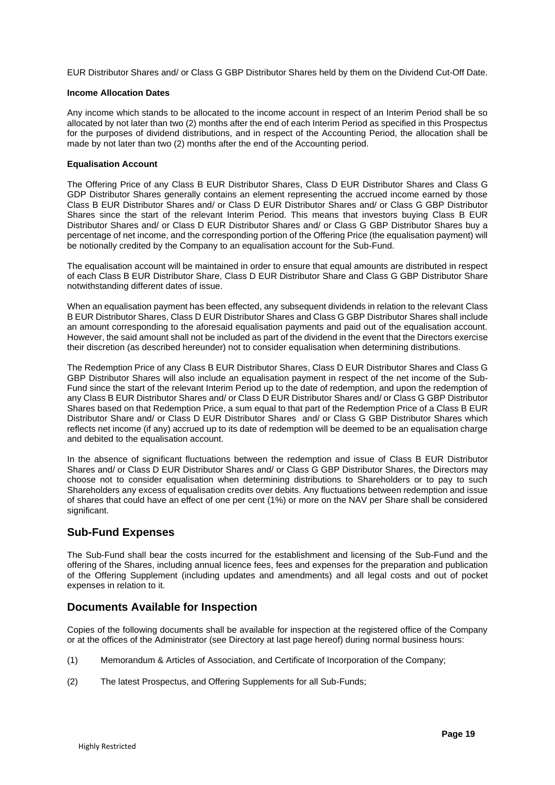EUR Distributor Shares and/ or Class G GBP Distributor Shares held by them on the Dividend Cut-Off Date.

#### **Income Allocation Dates**

Any income which stands to be allocated to the income account in respect of an Interim Period shall be so allocated by not later than two (2) months after the end of each Interim Period as specified in this Prospectus for the purposes of dividend distributions, and in respect of the Accounting Period, the allocation shall be made by not later than two (2) months after the end of the Accounting period.

#### **Equalisation Account**

The Offering Price of any Class B EUR Distributor Shares, Class D EUR Distributor Shares and Class G GDP Distributor Shares generally contains an element representing the accrued income earned by those Class B EUR Distributor Shares and/ or Class D EUR Distributor Shares and/ or Class G GBP Distributor Shares since the start of the relevant Interim Period. This means that investors buying Class B EUR Distributor Shares and/ or Class D EUR Distributor Shares and/ or Class G GBP Distributor Shares buy a percentage of net income, and the corresponding portion of the Offering Price (the equalisation payment) will be notionally credited by the Company to an equalisation account for the Sub-Fund.

The equalisation account will be maintained in order to ensure that equal amounts are distributed in respect of each Class B EUR Distributor Share, Class D EUR Distributor Share and Class G GBP Distributor Share notwithstanding different dates of issue.

When an equalisation payment has been effected, any subsequent dividends in relation to the relevant Class B EUR Distributor Shares, Class D EUR Distributor Shares and Class G GBP Distributor Shares shall include an amount corresponding to the aforesaid equalisation payments and paid out of the equalisation account. However, the said amount shall not be included as part of the dividend in the event that the Directors exercise their discretion (as described hereunder) not to consider equalisation when determining distributions.

The Redemption Price of any Class B EUR Distributor Shares, Class D EUR Distributor Shares and Class G GBP Distributor Shares will also include an equalisation payment in respect of the net income of the Sub-Fund since the start of the relevant Interim Period up to the date of redemption, and upon the redemption of any Class B EUR Distributor Shares and/ or Class D EUR Distributor Shares and/ or Class G GBP Distributor Shares based on that Redemption Price, a sum equal to that part of the Redemption Price of a Class B EUR Distributor Share and/ or Class D EUR Distributor Shares and/ or Class G GBP Distributor Shares which reflects net income (if any) accrued up to its date of redemption will be deemed to be an equalisation charge and debited to the equalisation account.

In the absence of significant fluctuations between the redemption and issue of Class B EUR Distributor Shares and/ or Class D EUR Distributor Shares and/ or Class G GBP Distributor Shares, the Directors may choose not to consider equalisation when determining distributions to Shareholders or to pay to such Shareholders any excess of equalisation credits over debits. Any fluctuations between redemption and issue of shares that could have an effect of one per cent (1%) or more on the NAV per Share shall be considered significant.

# <span id="page-18-0"></span>**Sub-Fund Expenses**

The Sub-Fund shall bear the costs incurred for the establishment and licensing of the Sub-Fund and the offering of the Shares, including annual licence fees, fees and expenses for the preparation and publication of the Offering Supplement (including updates and amendments) and all legal costs and out of pocket expenses in relation to it.

### <span id="page-18-1"></span>**Documents Available for Inspection**

Copies of the following documents shall be available for inspection at the registered office of the Company or at the offices of the Administrator (see Directory at last page hereof) during normal business hours:

- (1) Memorandum & Articles of Association, and Certificate of Incorporation of the Company;
- (2) The latest Prospectus, and Offering Supplements for all Sub-Funds;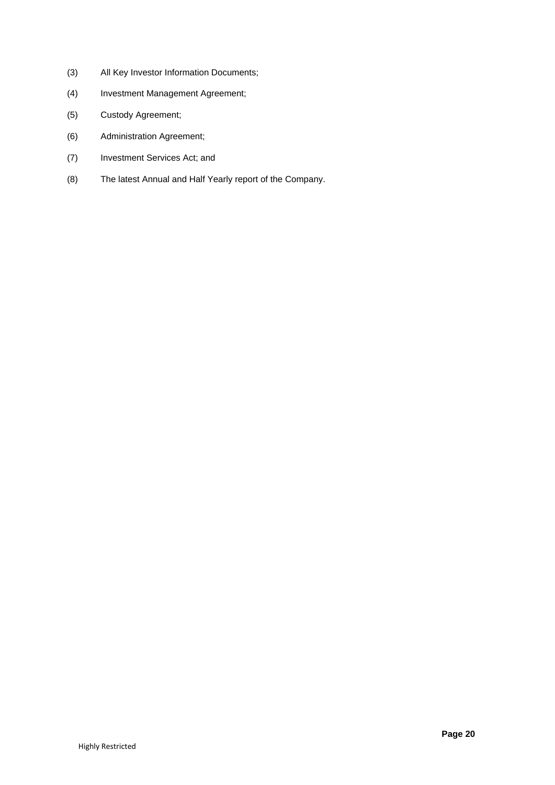- (3) All Key Investor Information Documents;
- (4) Investment Management Agreement;
- (5) Custody Agreement;
- (6) Administration Agreement;
- (7) Investment Services Act; and
- (8) The latest Annual and Half Yearly report of the Company.